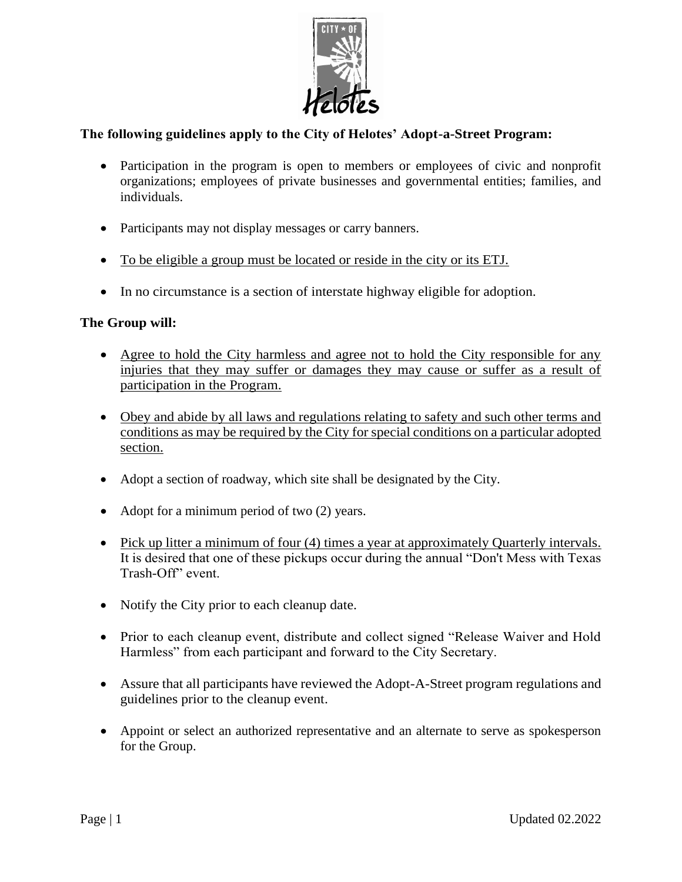

# **The following guidelines apply to the City of Helotes' Adopt-a-Street Program:**

- Participation in the program is open to members or employees of civic and nonprofit organizations; employees of private businesses and governmental entities; families, and individuals.
- Participants may not display messages or carry banners.
- To be eligible a group must be located or reside in the city or its ETJ.
- In no circumstance is a section of interstate highway eligible for adoption.

#### **The Group will:**

- Agree to hold the City harmless and agree not to hold the City responsible for any injuries that they may suffer or damages they may cause or suffer as a result of participation in the Program.
- Obey and abide by all laws and regulations relating to safety and such other terms and conditions as may be required by the City for special conditions on a particular adopted section.
- Adopt a section of roadway, which site shall be designated by the City.
- Adopt for a minimum period of two (2) years.
- Pick up litter a minimum of four (4) times a year at approximately Quarterly intervals. It is desired that one of these pickups occur during the annual "Don't Mess with Texas Trash-Off" event.
- Notify the City prior to each cleanup date.
- Prior to each cleanup event, distribute and collect signed "Release Waiver and Hold Harmless" from each participant and forward to the City Secretary.
- Assure that all participants have reviewed the Adopt-A-Street program regulations and guidelines prior to the cleanup event.
- Appoint or select an authorized representative and an alternate to serve as spokesperson for the Group.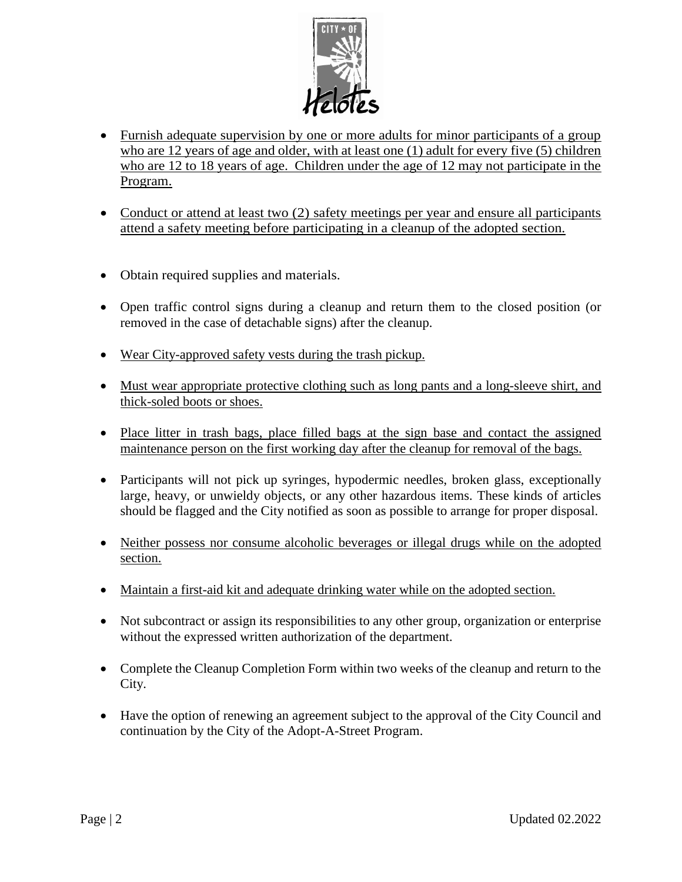

- Furnish adequate supervision by one or more adults for minor participants of a group who are 12 years of age and older, with at least one (1) adult for every five (5) children who are 12 to 18 years of age. Children under the age of 12 may not participate in the Program.
- Conduct or attend at least two (2) safety meetings per year and ensure all participants attend a safety meeting before participating in a cleanup of the adopted section.
- Obtain required supplies and materials.
- Open traffic control signs during a cleanup and return them to the closed position (or removed in the case of detachable signs) after the cleanup.
- Wear City-approved safety vests during the trash pickup.
- Must wear appropriate protective clothing such as long pants and a long-sleeve shirt, and thick-soled boots or shoes.
- Place litter in trash bags, place filled bags at the sign base and contact the assigned maintenance person on the first working day after the cleanup for removal of the bags.
- Participants will not pick up syringes, hypodermic needles, broken glass, exceptionally large, heavy, or unwieldy objects, or any other hazardous items. These kinds of articles should be flagged and the City notified as soon as possible to arrange for proper disposal.
- Neither possess nor consume alcoholic beverages or illegal drugs while on the adopted section.
- Maintain a first-aid kit and adequate drinking water while on the adopted section.
- Not subcontract or assign its responsibilities to any other group, organization or enterprise without the expressed written authorization of the department.
- Complete the Cleanup Completion Form within two weeks of the cleanup and return to the City.
- Have the option of renewing an agreement subject to the approval of the City Council and continuation by the City of the Adopt-A-Street Program.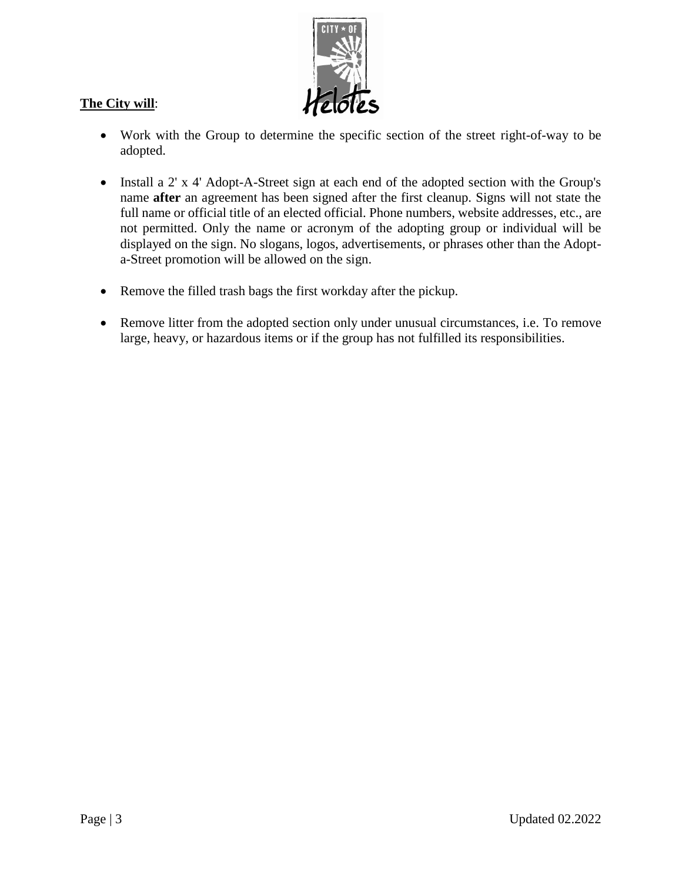

# **The City will**:

- Work with the Group to determine the specific section of the street right-of-way to be adopted.
- Install a 2' x 4' Adopt-A-Street sign at each end of the adopted section with the Group's name **after** an agreement has been signed after the first cleanup. Signs will not state the full name or official title of an elected official. Phone numbers, website addresses, etc., are not permitted. Only the name or acronym of the adopting group or individual will be displayed on the sign. No slogans, logos, advertisements, or phrases other than the Adopta-Street promotion will be allowed on the sign.
- Remove the filled trash bags the first workday after the pickup.
- Remove litter from the adopted section only under unusual circumstances, i.e. To remove large, heavy, or hazardous items or if the group has not fulfilled its responsibilities.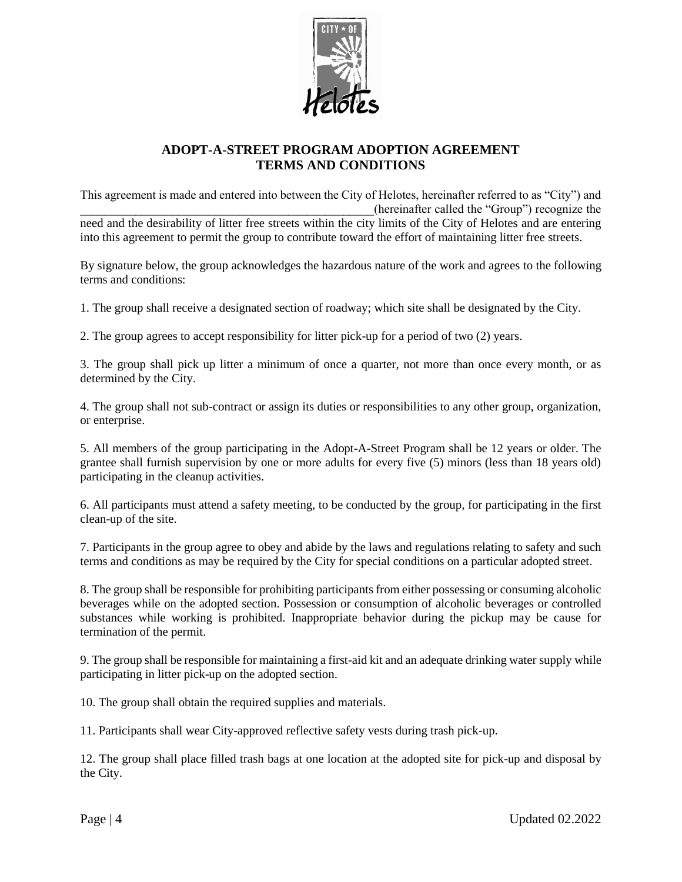

#### **ADOPT-A-STREET PROGRAM ADOPTION AGREEMENT TERMS AND CONDITIONS**

This agreement is made and entered into between the City of Helotes, hereinafter referred to as "City") and \_\_\_\_\_\_\_\_\_\_\_\_\_\_\_\_\_\_\_\_\_\_\_\_\_\_\_\_\_\_\_\_\_\_\_\_\_\_\_\_\_\_\_\_\_\_\_\_(hereinafter called the "Group") recognize the need and the desirability of litter free streets within the city limits of the City of Helotes and are entering into this agreement to permit the group to contribute toward the effort of maintaining litter free streets.

By signature below, the group acknowledges the hazardous nature of the work and agrees to the following terms and conditions:

1. The group shall receive a designated section of roadway; which site shall be designated by the City.

2. The group agrees to accept responsibility for litter pick-up for a period of two (2) years.

3. The group shall pick up litter a minimum of once a quarter, not more than once every month, or as determined by the City.

4. The group shall not sub-contract or assign its duties or responsibilities to any other group, organization, or enterprise.

5. All members of the group participating in the Adopt-A-Street Program shall be 12 years or older. The grantee shall furnish supervision by one or more adults for every five (5) minors (less than 18 years old) participating in the cleanup activities.

6. All participants must attend a safety meeting, to be conducted by the group, for participating in the first clean-up of the site.

7. Participants in the group agree to obey and abide by the laws and regulations relating to safety and such terms and conditions as may be required by the City for special conditions on a particular adopted street.

8. The group shall be responsible for prohibiting participants from either possessing or consuming alcoholic beverages while on the adopted section. Possession or consumption of alcoholic beverages or controlled substances while working is prohibited. Inappropriate behavior during the pickup may be cause for termination of the permit.

9. The group shall be responsible for maintaining a first-aid kit and an adequate drinking water supply while participating in litter pick-up on the adopted section.

10. The group shall obtain the required supplies and materials.

11. Participants shall wear City-approved reflective safety vests during trash pick-up.

12. The group shall place filled trash bags at one location at the adopted site for pick-up and disposal by the City.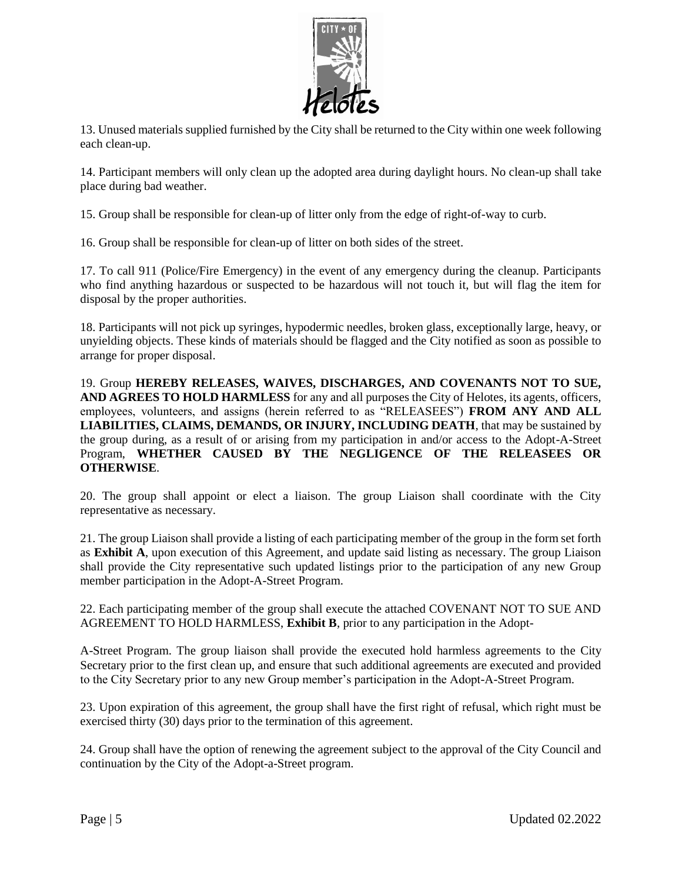

13. Unused materials supplied furnished by the City shall be returned to the City within one week following each clean-up.

14. Participant members will only clean up the adopted area during daylight hours. No clean-up shall take place during bad weather.

15. Group shall be responsible for clean-up of litter only from the edge of right-of-way to curb.

16. Group shall be responsible for clean-up of litter on both sides of the street.

17. To call 911 (Police/Fire Emergency) in the event of any emergency during the cleanup. Participants who find anything hazardous or suspected to be hazardous will not touch it, but will flag the item for disposal by the proper authorities.

18. Participants will not pick up syringes, hypodermic needles, broken glass, exceptionally large, heavy, or unyielding objects. These kinds of materials should be flagged and the City notified as soon as possible to arrange for proper disposal.

19. Group **HEREBY RELEASES, WAIVES, DISCHARGES, AND COVENANTS NOT TO SUE, AND AGREES TO HOLD HARMLESS** for any and all purposes the City of Helotes, its agents, officers, employees, volunteers, and assigns (herein referred to as "RELEASEES") **FROM ANY AND ALL LIABILITIES, CLAIMS, DEMANDS, OR INJURY, INCLUDING DEATH**, that may be sustained by the group during, as a result of or arising from my participation in and/or access to the Adopt-A-Street Program, **WHETHER CAUSED BY THE NEGLIGENCE OF THE RELEASEES OR OTHERWISE**.

20. The group shall appoint or elect a liaison. The group Liaison shall coordinate with the City representative as necessary.

21. The group Liaison shall provide a listing of each participating member of the group in the form set forth as **Exhibit A**, upon execution of this Agreement, and update said listing as necessary. The group Liaison shall provide the City representative such updated listings prior to the participation of any new Group member participation in the Adopt-A-Street Program.

22. Each participating member of the group shall execute the attached COVENANT NOT TO SUE AND AGREEMENT TO HOLD HARMLESS, **Exhibit B**, prior to any participation in the Adopt-

A-Street Program. The group liaison shall provide the executed hold harmless agreements to the City Secretary prior to the first clean up, and ensure that such additional agreements are executed and provided to the City Secretary prior to any new Group member's participation in the Adopt-A-Street Program.

23. Upon expiration of this agreement, the group shall have the first right of refusal, which right must be exercised thirty (30) days prior to the termination of this agreement.

24. Group shall have the option of renewing the agreement subject to the approval of the City Council and continuation by the City of the Adopt-a-Street program.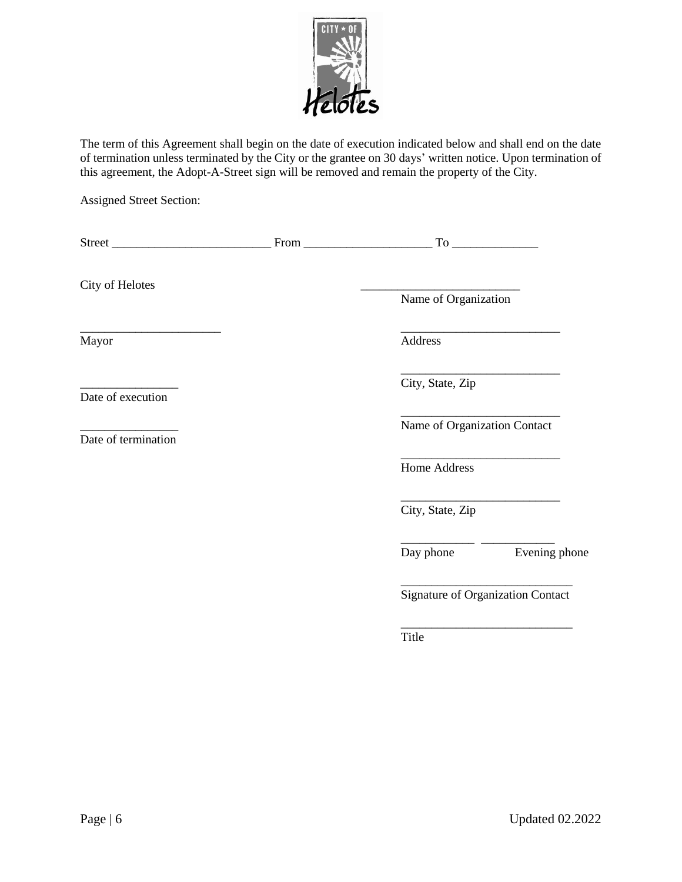

The term of this Agreement shall begin on the date of execution indicated below and shall end on the date of termination unless terminated by the City or the grantee on 30 days' written notice. Upon termination of this agreement, the Adopt-A-Street sign will be removed and remain the property of the City.

Assigned Street Section:

| City of Helotes                          |                                   |                         |
|------------------------------------------|-----------------------------------|-------------------------|
|                                          | Name of Organization              |                         |
| Mayor                                    | Address                           |                         |
| Date of execution<br>Date of termination | City, State, Zip                  |                         |
|                                          | Name of Organization Contact      |                         |
|                                          | Home Address                      |                         |
|                                          | City, State, Zip                  |                         |
|                                          |                                   | Day phone Evening phone |
|                                          | Signature of Organization Contact |                         |
|                                          | Title                             |                         |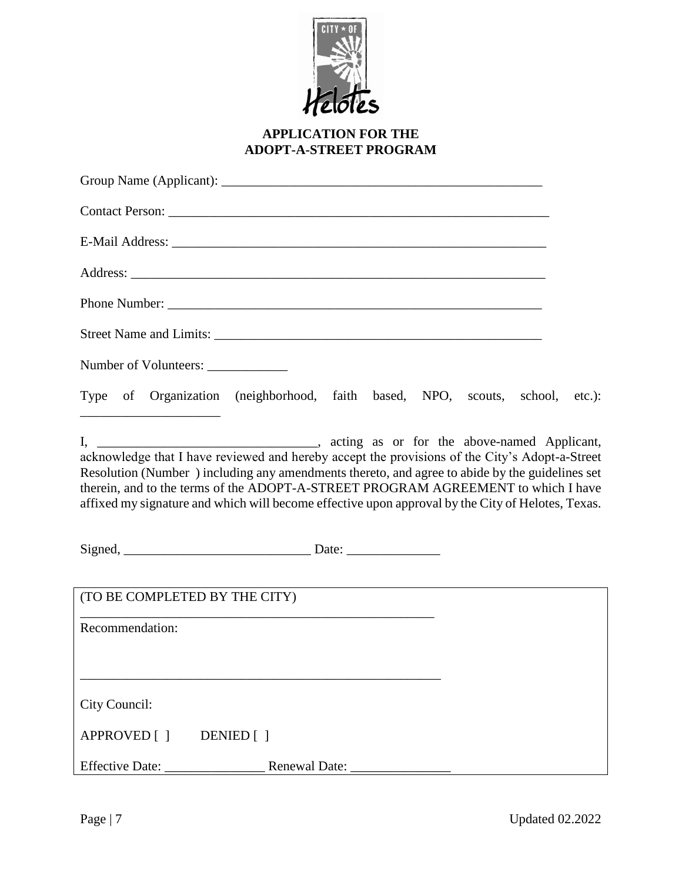

# **APPLICATION FOR THE ADOPT-A-STREET PROGRAM**

| Number of Volunteers: _____________                                                                                                                                                                                                                                                                                                                                                        |  |
|--------------------------------------------------------------------------------------------------------------------------------------------------------------------------------------------------------------------------------------------------------------------------------------------------------------------------------------------------------------------------------------------|--|
| Type of Organization (neighborhood, faith based, NPO, scouts, school, etc.):<br><u> 1989 - Johann Barbara, martin amerikan per</u>                                                                                                                                                                                                                                                         |  |
| acknowledge that I have reviewed and hereby accept the provisions of the City's Adopt-a-Street<br>Resolution (Number) including any amendments thereto, and agree to abide by the guidelines set<br>therein, and to the terms of the ADOPT-A-STREET PROGRAM AGREEMENT to which I have<br>affixed my signature and which will become effective upon approval by the City of Helotes, Texas. |  |
|                                                                                                                                                                                                                                                                                                                                                                                            |  |
| (TO BE COMPLETED BY THE CITY)                                                                                                                                                                                                                                                                                                                                                              |  |
| Recommendation:                                                                                                                                                                                                                                                                                                                                                                            |  |
| City Council:                                                                                                                                                                                                                                                                                                                                                                              |  |
| APPROVED [ ] DENIED [ ]                                                                                                                                                                                                                                                                                                                                                                    |  |
|                                                                                                                                                                                                                                                                                                                                                                                            |  |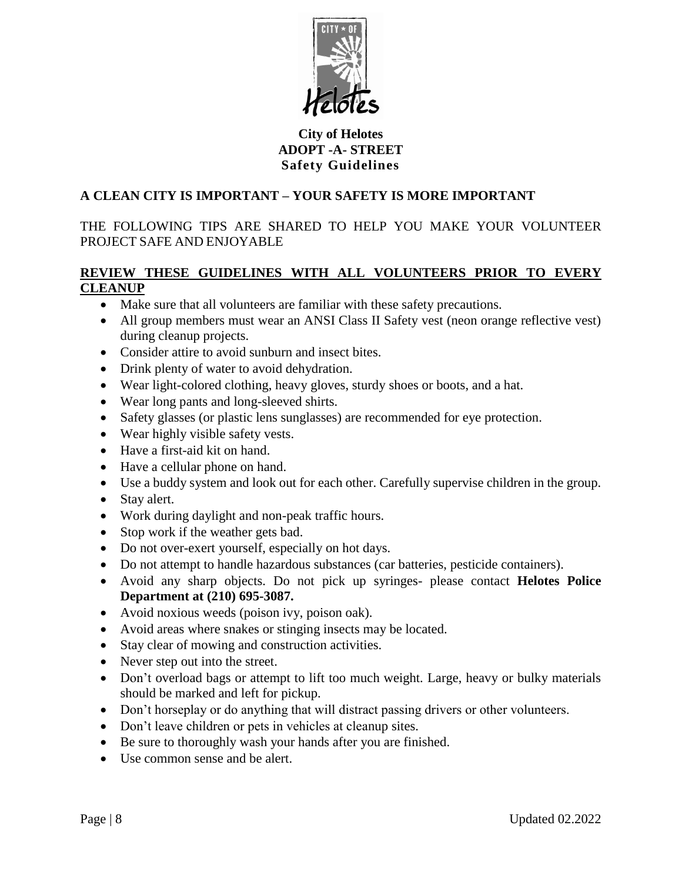

# **City of Helotes ADOPT -A- STREET Safety Guidelines**

# **A CLEAN CITY IS IMPORTANT – YOUR SAFETY IS MORE IMPORTANT**

THE FOLLOWING TIPS ARE SHARED TO HELP YOU MAKE YOUR VOLUNTEER PROJECT SAFE AND ENJOYABLE

# **REVIEW THESE GUIDELINES WITH ALL VOLUNTEERS PRIOR TO EVERY CLEANUP**

- Make sure that all volunteers are familiar with these safety precautions.
- All group members must wear an ANSI Class II Safety vest (neon orange reflective vest) during cleanup projects.
- Consider attire to avoid sunburn and insect bites.
- Drink plenty of water to avoid dehydration.
- Wear light-colored clothing, heavy gloves, sturdy shoes or boots, and a hat.
- Wear long pants and long-sleeved shirts.
- Safety glasses (or plastic lens sunglasses) are recommended for eye protection.
- Wear highly visible safety vests.
- Have a first-aid kit on hand.
- Have a cellular phone on hand.
- Use a buddy system and look out for each other. Carefully supervise children in the group.
- Stay alert.
- Work during daylight and non-peak traffic hours.
- Stop work if the weather gets bad.
- Do not over-exert yourself, especially on hot days.
- Do not attempt to handle hazardous substances (car batteries, pesticide containers).
- Avoid any sharp objects. Do not pick up syringes- please contact **Helotes Police Department at (210) 695-3087.**
- Avoid noxious weeds (poison ivy, poison oak).
- Avoid areas where snakes or stinging insects may be located.
- Stay clear of mowing and construction activities.
- Never step out into the street.
- Don't overload bags or attempt to lift too much weight. Large, heavy or bulky materials should be marked and left for pickup.
- Don't horseplay or do anything that will distract passing drivers or other volunteers.
- Don't leave children or pets in vehicles at cleanup sites.
- Be sure to thoroughly wash your hands after you are finished.
- Use common sense and be alert.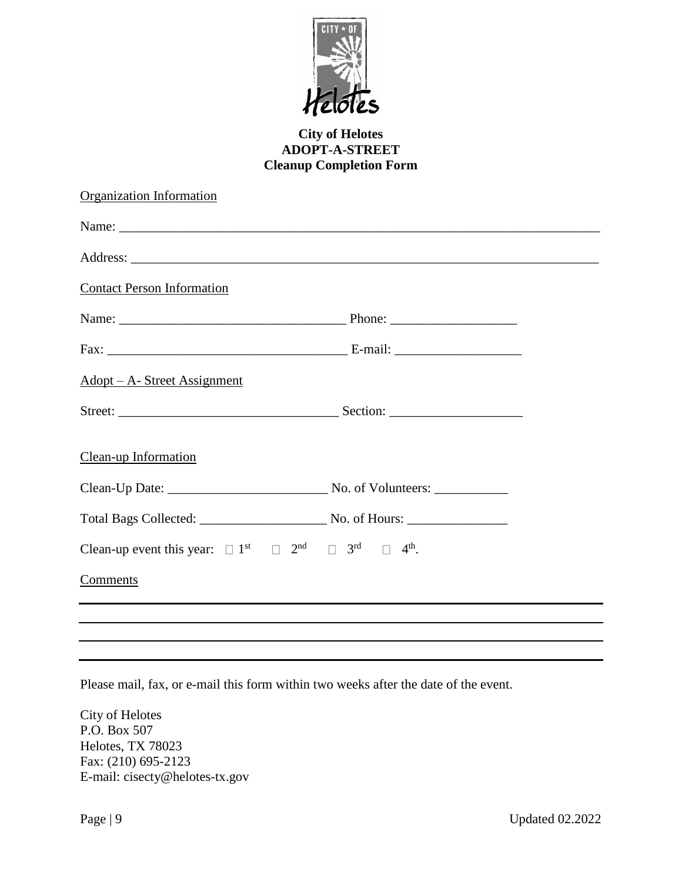

### **City of Helotes ADOPT-A-STREET Cleanup Completion Form**

| Organization Information                                                                                                            |  |  |
|-------------------------------------------------------------------------------------------------------------------------------------|--|--|
|                                                                                                                                     |  |  |
|                                                                                                                                     |  |  |
| <b>Contact Person Information</b>                                                                                                   |  |  |
|                                                                                                                                     |  |  |
|                                                                                                                                     |  |  |
| <u> Adopt – A- Street Assignment</u>                                                                                                |  |  |
|                                                                                                                                     |  |  |
| Clean-up Information                                                                                                                |  |  |
|                                                                                                                                     |  |  |
|                                                                                                                                     |  |  |
| Clean-up event this year: $\square$ 1 <sup>st</sup> $\square$ 2 <sup>nd</sup> $\square$ 3 <sup>rd</sup> $\square$ 4 <sup>th</sup> . |  |  |
| Comments                                                                                                                            |  |  |
|                                                                                                                                     |  |  |
|                                                                                                                                     |  |  |
|                                                                                                                                     |  |  |

Please mail, fax, or e-mail this form within two weeks after the date of the event.

City of Helotes P.O. Box 507 Helotes, TX 78023 Fax: (210) 695-2123 E-mail: cisecty@helotes-tx.gov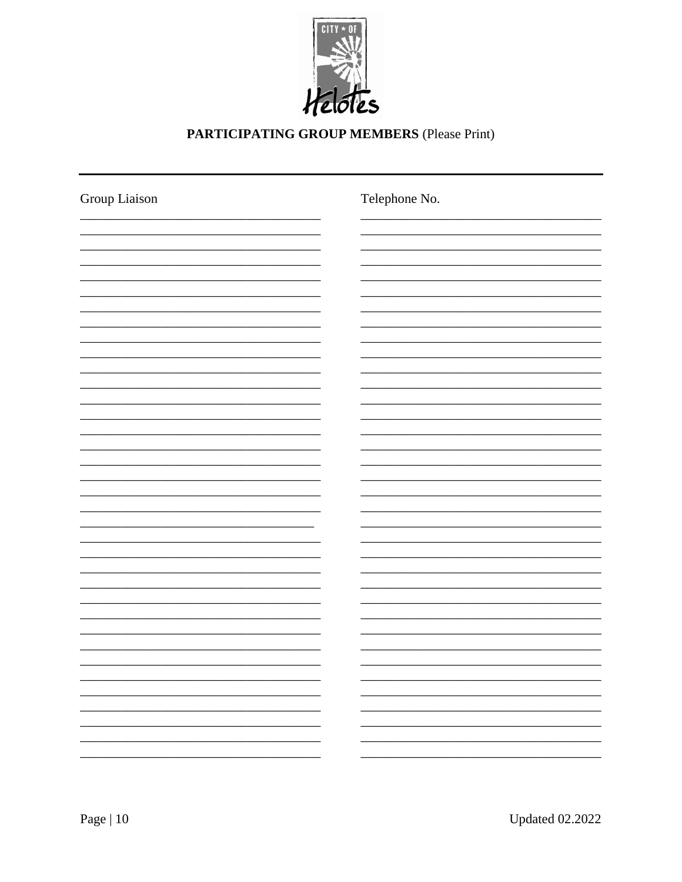

# PARTICIPATING GROUP MEMBERS (Please Print)

| Group Liaison | Telephone No. |
|---------------|---------------|
|               |               |
|               |               |
|               |               |
|               |               |
|               |               |
|               |               |
|               |               |
|               |               |
|               |               |
|               |               |
|               |               |
|               |               |
|               |               |
|               |               |
|               |               |
|               |               |
|               |               |
|               |               |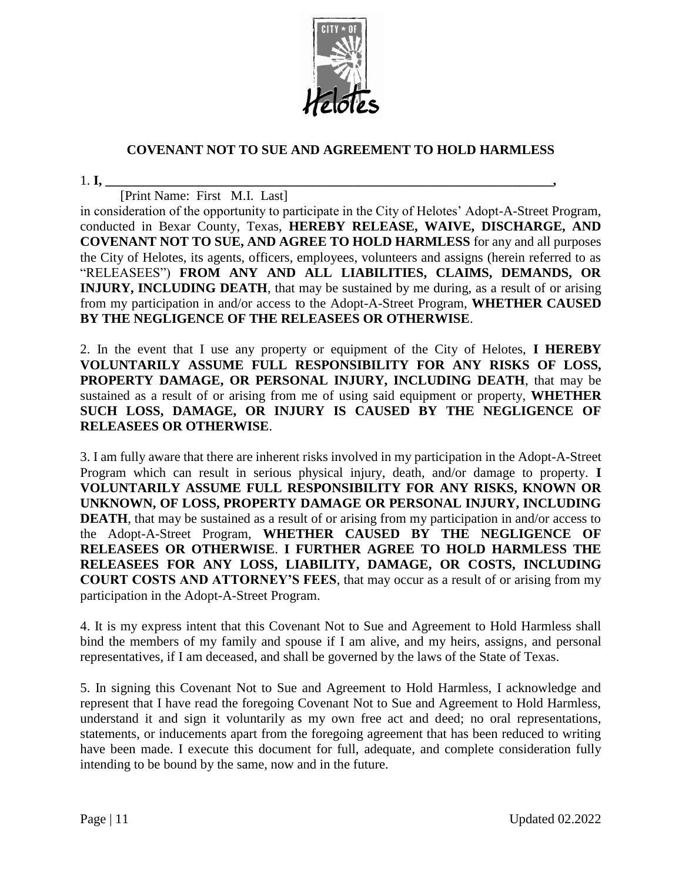

# **COVENANT NOT TO SUE AND AGREEMENT TO HOLD HARMLESS**

1. **I, \_\_\_\_\_\_\_\_\_\_\_\_\_\_\_\_\_\_\_\_\_\_\_\_\_\_\_\_\_\_\_\_\_\_\_\_\_\_\_\_\_\_\_\_\_\_\_\_\_\_\_\_\_\_\_\_\_\_\_\_\_\_\_\_\_\_\_,**

[Print Name: First M.I. Last]

in consideration of the opportunity to participate in the City of Helotes' Adopt-A-Street Program, conducted in Bexar County, Texas, **HEREBY RELEASE, WAIVE, DISCHARGE, AND COVENANT NOT TO SUE, AND AGREE TO HOLD HARMLESS** for any and all purposes the City of Helotes, its agents, officers, employees, volunteers and assigns (herein referred to as "RELEASEES") **FROM ANY AND ALL LIABILITIES, CLAIMS, DEMANDS, OR INJURY, INCLUDING DEATH**, that may be sustained by me during, as a result of or arising from my participation in and/or access to the Adopt-A-Street Program, **WHETHER CAUSED BY THE NEGLIGENCE OF THE RELEASEES OR OTHERWISE**.

2. In the event that I use any property or equipment of the City of Helotes, **I HEREBY VOLUNTARILY ASSUME FULL RESPONSIBILITY FOR ANY RISKS OF LOSS, PROPERTY DAMAGE, OR PERSONAL INJURY, INCLUDING DEATH**, that may be sustained as a result of or arising from me of using said equipment or property, **WHETHER SUCH LOSS, DAMAGE, OR INJURY IS CAUSED BY THE NEGLIGENCE OF RELEASEES OR OTHERWISE**.

3. I am fully aware that there are inherent risks involved in my participation in the Adopt-A-Street Program which can result in serious physical injury, death, and/or damage to property. **I VOLUNTARILY ASSUME FULL RESPONSIBILITY FOR ANY RISKS, KNOWN OR UNKNOWN, OF LOSS, PROPERTY DAMAGE OR PERSONAL INJURY, INCLUDING DEATH**, that may be sustained as a result of or arising from my participation in and/or access to the Adopt-A-Street Program, **WHETHER CAUSED BY THE NEGLIGENCE OF RELEASEES OR OTHERWISE**. **I FURTHER AGREE TO HOLD HARMLESS THE RELEASEES FOR ANY LOSS, LIABILITY, DAMAGE, OR COSTS, INCLUDING COURT COSTS AND ATTORNEY'S FEES**, that may occur as a result of or arising from my participation in the Adopt-A-Street Program.

4. It is my express intent that this Covenant Not to Sue and Agreement to Hold Harmless shall bind the members of my family and spouse if I am alive, and my heirs, assigns, and personal representatives, if I am deceased, and shall be governed by the laws of the State of Texas.

5. In signing this Covenant Not to Sue and Agreement to Hold Harmless, I acknowledge and represent that I have read the foregoing Covenant Not to Sue and Agreement to Hold Harmless, understand it and sign it voluntarily as my own free act and deed; no oral representations, statements, or inducements apart from the foregoing agreement that has been reduced to writing have been made. I execute this document for full, adequate, and complete consideration fully intending to be bound by the same, now and in the future.